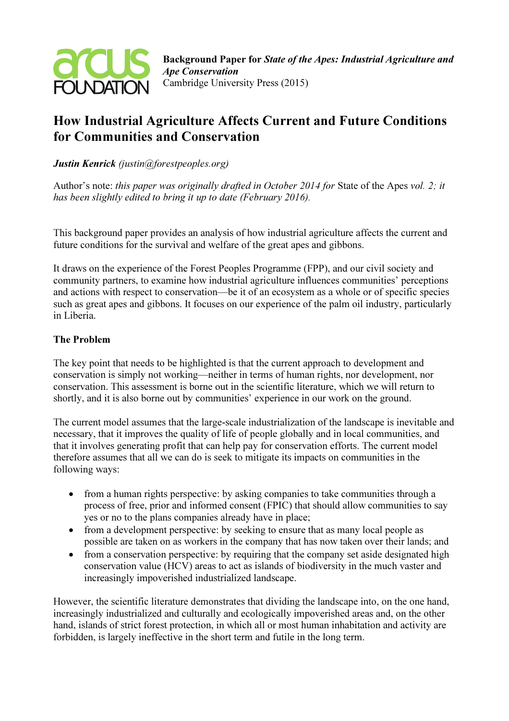

# How Industrial Agriculture Affects Current and Future Conditions for Communities and Conservation

Justin Kenrick (justin@forestpeoples.org)

Author's note: this paper was originally drafted in October 2014 for State of the Apes vol. 2; it has been slightly edited to bring it up to date (February 2016).

This background paper provides an analysis of how industrial agriculture affects the current and future conditions for the survival and welfare of the great apes and gibbons.

It draws on the experience of the Forest Peoples Programme (FPP), and our civil society and community partners, to examine how industrial agriculture influences communities' perceptions and actions with respect to conservation—be it of an ecosystem as a whole or of specific species such as great apes and gibbons. It focuses on our experience of the palm oil industry, particularly in Liberia.

# The Problem

The key point that needs to be highlighted is that the current approach to development and conservation is simply not working—neither in terms of human rights, nor development, nor conservation. This assessment is borne out in the scientific literature, which we will return to shortly, and it is also borne out by communities' experience in our work on the ground.

The current model assumes that the large-scale industrialization of the landscape is inevitable and necessary, that it improves the quality of life of people globally and in local communities, and that it involves generating profit that can help pay for conservation efforts. The current model therefore assumes that all we can do is seek to mitigate its impacts on communities in the following ways:

- from a human rights perspective: by asking companies to take communities through a process of free, prior and informed consent (FPIC) that should allow communities to say yes or no to the plans companies already have in place;
- from a development perspective: by seeking to ensure that as many local people as possible are taken on as workers in the company that has now taken over their lands; and
- from a conservation perspective: by requiring that the company set aside designated high conservation value (HCV) areas to act as islands of biodiversity in the much vaster and increasingly impoverished industrialized landscape.

However, the scientific literature demonstrates that dividing the landscape into, on the one hand, increasingly industrialized and culturally and ecologically impoverished areas and, on the other hand, islands of strict forest protection, in which all or most human inhabitation and activity are forbidden, is largely ineffective in the short term and futile in the long term.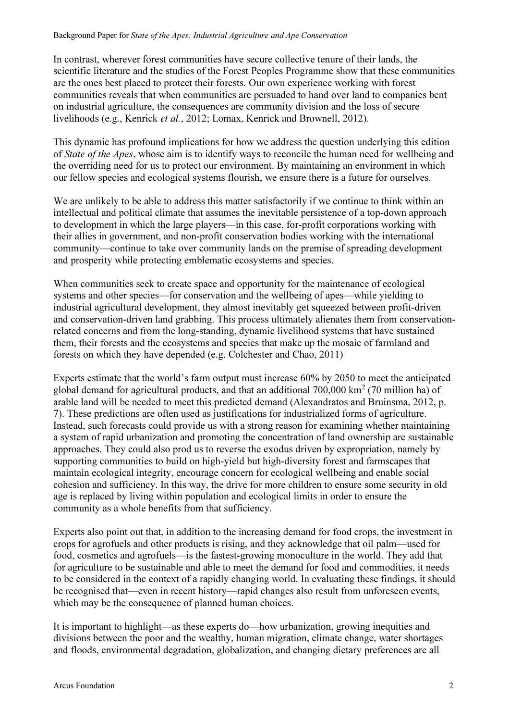In contrast, wherever forest communities have secure collective tenure of their lands, the scientific literature and the studies of the Forest Peoples Programme show that these communities are the ones best placed to protect their forests. Our own experience working with forest communities reveals that when communities are persuaded to hand over land to companies bent on industrial agriculture, the consequences are community division and the loss of secure livelihoods (e.g., Kenrick et al., 2012; Lomax, Kenrick and Brownell, 2012).

This dynamic has profound implications for how we address the question underlying this edition of State of the Apes, whose aim is to identify ways to reconcile the human need for wellbeing and the overriding need for us to protect our environment. By maintaining an environment in which our fellow species and ecological systems flourish, we ensure there is a future for ourselves.

We are unlikely to be able to address this matter satisfactorily if we continue to think within an intellectual and political climate that assumes the inevitable persistence of a top-down approach to development in which the large players—in this case, for-profit corporations working with their allies in government, and non-profit conservation bodies working with the international community—continue to take over community lands on the premise of spreading development and prosperity while protecting emblematic ecosystems and species.

When communities seek to create space and opportunity for the maintenance of ecological systems and other species—for conservation and the wellbeing of apes—while yielding to industrial agricultural development, they almost inevitably get squeezed between profit-driven and conservation-driven land grabbing. This process ultimately alienates them from conservationrelated concerns and from the long-standing, dynamic livelihood systems that have sustained them, their forests and the ecosystems and species that make up the mosaic of farmland and forests on which they have depended (e.g. Colchester and Chao, 2011)

Experts estimate that the world's farm output must increase 60% by 2050 to meet the anticipated global demand for agricultural products, and that an additional  $700,000 \text{ km}^2$  (70 million ha) of arable land will be needed to meet this predicted demand (Alexandratos and Bruinsma, 2012, p. 7). These predictions are often used as justifications for industrialized forms of agriculture. Instead, such forecasts could provide us with a strong reason for examining whether maintaining a system of rapid urbanization and promoting the concentration of land ownership are sustainable approaches. They could also prod us to reverse the exodus driven by expropriation, namely by supporting communities to build on high-yield but high-diversity forest and farmscapes that maintain ecological integrity, encourage concern for ecological wellbeing and enable social cohesion and sufficiency. In this way, the drive for more children to ensure some security in old age is replaced by living within population and ecological limits in order to ensure the community as a whole benefits from that sufficiency.

Experts also point out that, in addition to the increasing demand for food crops, the investment in crops for agrofuels and other products is rising, and they acknowledge that oil palm—used for food, cosmetics and agrofuels—is the fastest-growing monoculture in the world. They add that for agriculture to be sustainable and able to meet the demand for food and commodities, it needs to be considered in the context of a rapidly changing world. In evaluating these findings, it should be recognised that—even in recent history—rapid changes also result from unforeseen events, which may be the consequence of planned human choices.

It is important to highlight—as these experts do—how urbanization, growing inequities and divisions between the poor and the wealthy, human migration, climate change, water shortages and floods, environmental degradation, globalization, and changing dietary preferences are all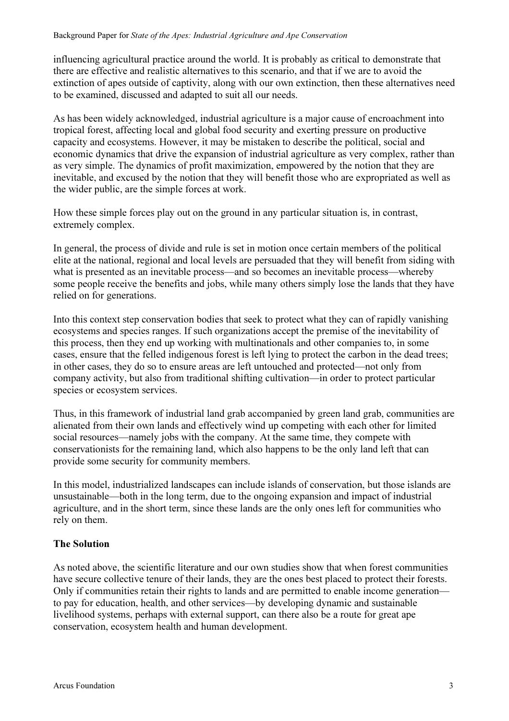influencing agricultural practice around the world. It is probably as critical to demonstrate that there are effective and realistic alternatives to this scenario, and that if we are to avoid the extinction of apes outside of captivity, along with our own extinction, then these alternatives need to be examined, discussed and adapted to suit all our needs.

As has been widely acknowledged, industrial agriculture is a major cause of encroachment into tropical forest, affecting local and global food security and exerting pressure on productive capacity and ecosystems. However, it may be mistaken to describe the political, social and economic dynamics that drive the expansion of industrial agriculture as very complex, rather than as very simple. The dynamics of profit maximization, empowered by the notion that they are inevitable, and excused by the notion that they will benefit those who are expropriated as well as the wider public, are the simple forces at work.

How these simple forces play out on the ground in any particular situation is, in contrast, extremely complex.

In general, the process of divide and rule is set in motion once certain members of the political elite at the national, regional and local levels are persuaded that they will benefit from siding with what is presented as an inevitable process—and so becomes an inevitable process—whereby some people receive the benefits and jobs, while many others simply lose the lands that they have relied on for generations.

Into this context step conservation bodies that seek to protect what they can of rapidly vanishing ecosystems and species ranges. If such organizations accept the premise of the inevitability of this process, then they end up working with multinationals and other companies to, in some cases, ensure that the felled indigenous forest is left lying to protect the carbon in the dead trees; in other cases, they do so to ensure areas are left untouched and protected—not only from company activity, but also from traditional shifting cultivation—in order to protect particular species or ecosystem services.

Thus, in this framework of industrial land grab accompanied by green land grab, communities are alienated from their own lands and effectively wind up competing with each other for limited social resources—namely jobs with the company. At the same time, they compete with conservationists for the remaining land, which also happens to be the only land left that can provide some security for community members.

In this model, industrialized landscapes can include islands of conservation, but those islands are unsustainable—both in the long term, due to the ongoing expansion and impact of industrial agriculture, and in the short term, since these lands are the only ones left for communities who rely on them.

## The Solution

As noted above, the scientific literature and our own studies show that when forest communities have secure collective tenure of their lands, they are the ones best placed to protect their forests. Only if communities retain their rights to lands and are permitted to enable income generation to pay for education, health, and other services—by developing dynamic and sustainable livelihood systems, perhaps with external support, can there also be a route for great ape conservation, ecosystem health and human development.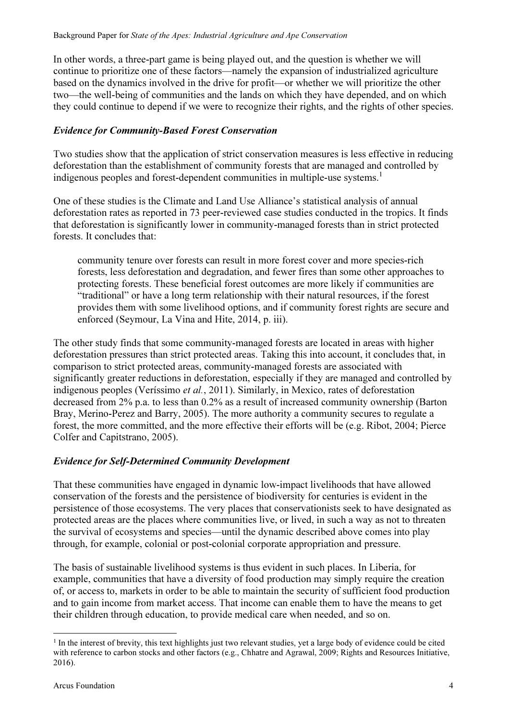In other words, a three-part game is being played out, and the question is whether we will continue to prioritize one of these factors—namely the expansion of industrialized agriculture based on the dynamics involved in the drive for profit—or whether we will prioritize the other two—the well-being of communities and the lands on which they have depended, and on which they could continue to depend if we were to recognize their rights, and the rights of other species.

#### Evidence for Community-Based Forest Conservation

Two studies show that the application of strict conservation measures is less effective in reducing deforestation than the establishment of community forests that are managed and controlled by indigenous peoples and forest-dependent communities in multiple-use systems.<sup>1</sup>

One of these studies is the Climate and Land Use Alliance's statistical analysis of annual deforestation rates as reported in 73 peer-reviewed case studies conducted in the tropics. It finds that deforestation is significantly lower in community-managed forests than in strict protected forests. It concludes that:

community tenure over forests can result in more forest cover and more species-rich forests, less deforestation and degradation, and fewer fires than some other approaches to protecting forests. These beneficial forest outcomes are more likely if communities are "traditional" or have a long term relationship with their natural resources, if the forest provides them with some livelihood options, and if community forest rights are secure and enforced (Seymour, La Vina and Hite, 2014, p. iii).

The other study finds that some community-managed forests are located in areas with higher deforestation pressures than strict protected areas. Taking this into account, it concludes that, in comparison to strict protected areas, community-managed forests are associated with significantly greater reductions in deforestation, especially if they are managed and controlled by indigenous peoples (Veríssimo et al., 2011). Similarly, in Mexico, rates of deforestation decreased from 2% p.a. to less than 0.2% as a result of increased community ownership (Barton Bray, Merino-Perez and Barry, 2005). The more authority a community secures to regulate a forest, the more committed, and the more effective their efforts will be (e.g. Ribot, 2004; Pierce Colfer and Capitstrano, 2005).

## Evidence for Self-Determined Community Development

That these communities have engaged in dynamic low-impact livelihoods that have allowed conservation of the forests and the persistence of biodiversity for centuries is evident in the persistence of those ecosystems. The very places that conservationists seek to have designated as protected areas are the places where communities live, or lived, in such a way as not to threaten the survival of ecosystems and species—until the dynamic described above comes into play through, for example, colonial or post-colonial corporate appropriation and pressure.

The basis of sustainable livelihood systems is thus evident in such places. In Liberia, for example, communities that have a diversity of food production may simply require the creation of, or access to, markets in order to be able to maintain the security of sufficient food production and to gain income from market access. That income can enable them to have the means to get their children through education, to provide medical care when needed, and so on.

 $\overline{a}$ 

<sup>&</sup>lt;sup>1</sup> In the interest of brevity, this text highlights just two relevant studies, yet a large body of evidence could be cited with reference to carbon stocks and other factors (e.g., Chhatre and Agrawal, 2009; Rights and Resources Initiative, 2016).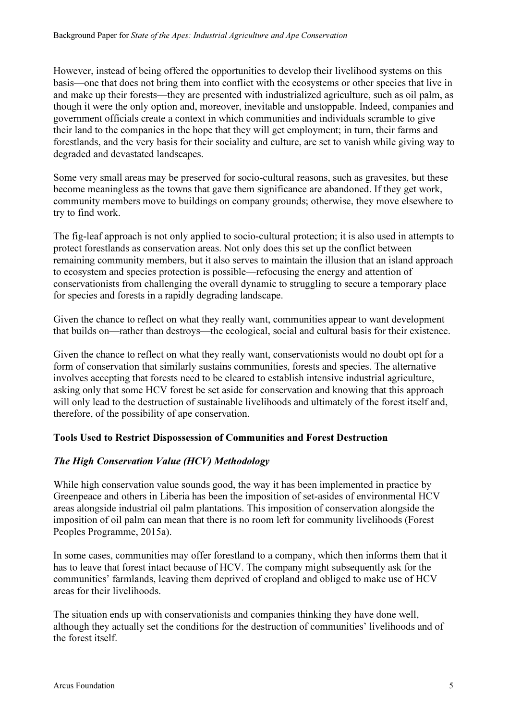However, instead of being offered the opportunities to develop their livelihood systems on this basis—one that does not bring them into conflict with the ecosystems or other species that live in and make up their forests—they are presented with industrialized agriculture, such as oil palm, as though it were the only option and, moreover, inevitable and unstoppable. Indeed, companies and government officials create a context in which communities and individuals scramble to give their land to the companies in the hope that they will get employment; in turn, their farms and forestlands, and the very basis for their sociality and culture, are set to vanish while giving way to degraded and devastated landscapes.

Some very small areas may be preserved for socio-cultural reasons, such as gravesites, but these become meaningless as the towns that gave them significance are abandoned. If they get work, community members move to buildings on company grounds; otherwise, they move elsewhere to try to find work.

The fig-leaf approach is not only applied to socio-cultural protection; it is also used in attempts to protect forestlands as conservation areas. Not only does this set up the conflict between remaining community members, but it also serves to maintain the illusion that an island approach to ecosystem and species protection is possible—refocusing the energy and attention of conservationists from challenging the overall dynamic to struggling to secure a temporary place for species and forests in a rapidly degrading landscape.

Given the chance to reflect on what they really want, communities appear to want development that builds on—rather than destroys—the ecological, social and cultural basis for their existence.

Given the chance to reflect on what they really want, conservationists would no doubt opt for a form of conservation that similarly sustains communities, forests and species. The alternative involves accepting that forests need to be cleared to establish intensive industrial agriculture, asking only that some HCV forest be set aside for conservation and knowing that this approach will only lead to the destruction of sustainable livelihoods and ultimately of the forest itself and, therefore, of the possibility of ape conservation.

## Tools Used to Restrict Dispossession of Communities and Forest Destruction

## The High Conservation Value (HCV) Methodology

While high conservation value sounds good, the way it has been implemented in practice by Greenpeace and others in Liberia has been the imposition of set-asides of environmental HCV areas alongside industrial oil palm plantations. This imposition of conservation alongside the imposition of oil palm can mean that there is no room left for community livelihoods (Forest Peoples Programme, 2015a).

In some cases, communities may offer forestland to a company, which then informs them that it has to leave that forest intact because of HCV. The company might subsequently ask for the communities' farmlands, leaving them deprived of cropland and obliged to make use of HCV areas for their livelihoods.

The situation ends up with conservationists and companies thinking they have done well, although they actually set the conditions for the destruction of communities' livelihoods and of the forest itself.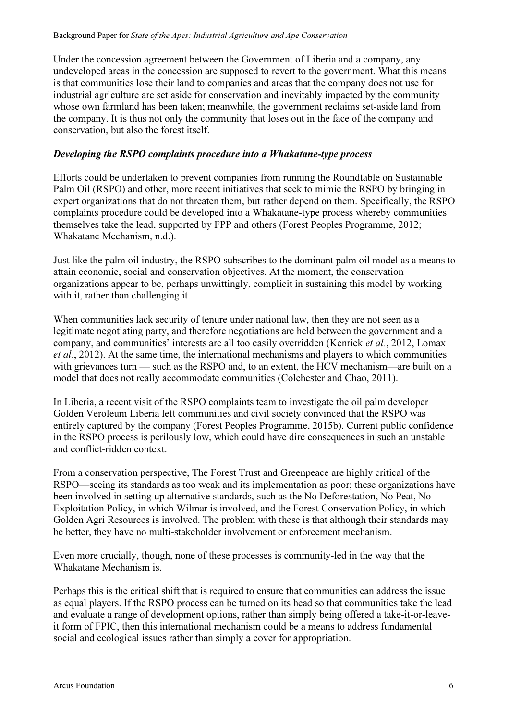Under the concession agreement between the Government of Liberia and a company, any undeveloped areas in the concession are supposed to revert to the government. What this means is that communities lose their land to companies and areas that the company does not use for industrial agriculture are set aside for conservation and inevitably impacted by the community whose own farmland has been taken; meanwhile, the government reclaims set-aside land from the company. It is thus not only the community that loses out in the face of the company and conservation, but also the forest itself.

#### Developing the RSPO complaints procedure into a Whakatane-type process

Efforts could be undertaken to prevent companies from running the Roundtable on Sustainable Palm Oil (RSPO) and other, more recent initiatives that seek to mimic the RSPO by bringing in expert organizations that do not threaten them, but rather depend on them. Specifically, the RSPO complaints procedure could be developed into a Whakatane-type process whereby communities themselves take the lead, supported by FPP and others (Forest Peoples Programme, 2012; Whakatane Mechanism, n.d.).

Just like the palm oil industry, the RSPO subscribes to the dominant palm oil model as a means to attain economic, social and conservation objectives. At the moment, the conservation organizations appear to be, perhaps unwittingly, complicit in sustaining this model by working with it, rather than challenging it.

When communities lack security of tenure under national law, then they are not seen as a legitimate negotiating party, and therefore negotiations are held between the government and a company, and communities' interests are all too easily overridden (Kenrick et al., 2012, Lomax et al., 2012). At the same time, the international mechanisms and players to which communities with grievances turn — such as the RSPO and, to an extent, the HCV mechanism—are built on a model that does not really accommodate communities (Colchester and Chao, 2011).

In Liberia, a recent visit of the RSPO complaints team to investigate the oil palm developer Golden Veroleum Liberia left communities and civil society convinced that the RSPO was entirely captured by the company (Forest Peoples Programme, 2015b). Current public confidence in the RSPO process is perilously low, which could have dire consequences in such an unstable and conflict-ridden context.

From a conservation perspective, The Forest Trust and Greenpeace are highly critical of the RSPO—seeing its standards as too weak and its implementation as poor; these organizations have been involved in setting up alternative standards, such as the No Deforestation, No Peat, No Exploitation Policy, in which Wilmar is involved, and the Forest Conservation Policy, in which Golden Agri Resources is involved. The problem with these is that although their standards may be better, they have no multi-stakeholder involvement or enforcement mechanism.

Even more crucially, though, none of these processes is community-led in the way that the Whakatane Mechanism is.

Perhaps this is the critical shift that is required to ensure that communities can address the issue as equal players. If the RSPO process can be turned on its head so that communities take the lead and evaluate a range of development options, rather than simply being offered a take-it-or-leaveit form of FPIC, then this international mechanism could be a means to address fundamental social and ecological issues rather than simply a cover for appropriation.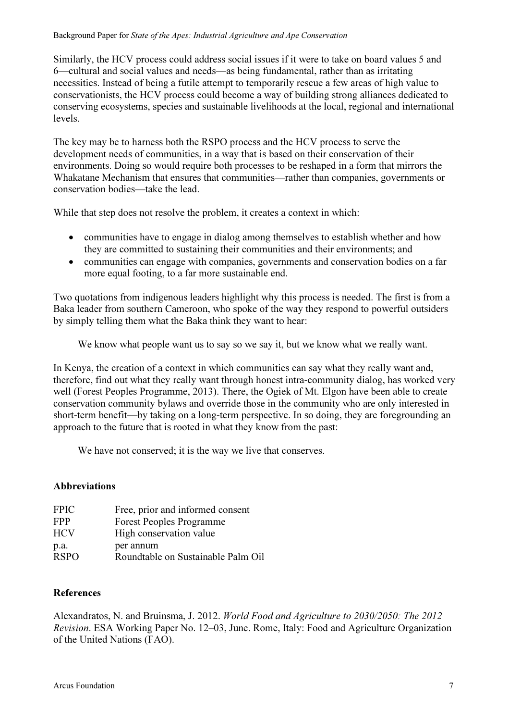Similarly, the HCV process could address social issues if it were to take on board values 5 and 6—cultural and social values and needs—as being fundamental, rather than as irritating necessities. Instead of being a futile attempt to temporarily rescue a few areas of high value to conservationists, the HCV process could become a way of building strong alliances dedicated to conserving ecosystems, species and sustainable livelihoods at the local, regional and international levels.

The key may be to harness both the RSPO process and the HCV process to serve the development needs of communities, in a way that is based on their conservation of their environments. Doing so would require both processes to be reshaped in a form that mirrors the Whakatane Mechanism that ensures that communities—rather than companies, governments or conservation bodies—take the lead.

While that step does not resolve the problem, it creates a context in which:

- communities have to engage in dialog among themselves to establish whether and how they are committed to sustaining their communities and their environments; and
- communities can engage with companies, governments and conservation bodies on a far more equal footing, to a far more sustainable end.

Two quotations from indigenous leaders highlight why this process is needed. The first is from a Baka leader from southern Cameroon, who spoke of the way they respond to powerful outsiders by simply telling them what the Baka think they want to hear:

We know what people want us to say so we say it, but we know what we really want.

In Kenya, the creation of a context in which communities can say what they really want and, therefore, find out what they really want through honest intra-community dialog, has worked very well (Forest Peoples Programme, 2013). There, the Ogiek of Mt. Elgon have been able to create conservation community bylaws and override those in the community who are only interested in short-term benefit—by taking on a long-term perspective. In so doing, they are foregrounding an approach to the future that is rooted in what they know from the past:

We have not conserved; it is the way we live that conserves.

## Abbreviations

| <b>FPIC</b> | Free, prior and informed consent   |
|-------------|------------------------------------|
| <b>FPP</b>  | <b>Forest Peoples Programme</b>    |
| <b>HCV</b>  | High conservation value            |
| p.a.        | per annum                          |
| <b>RSPO</b> | Roundtable on Sustainable Palm Oil |

## References

Alexandratos, N. and Bruinsma, J. 2012. World Food and Agriculture to 2030/2050: The 2012 Revision. ESA Working Paper No. 12–03, June. Rome, Italy: Food and Agriculture Organization of the United Nations (FAO).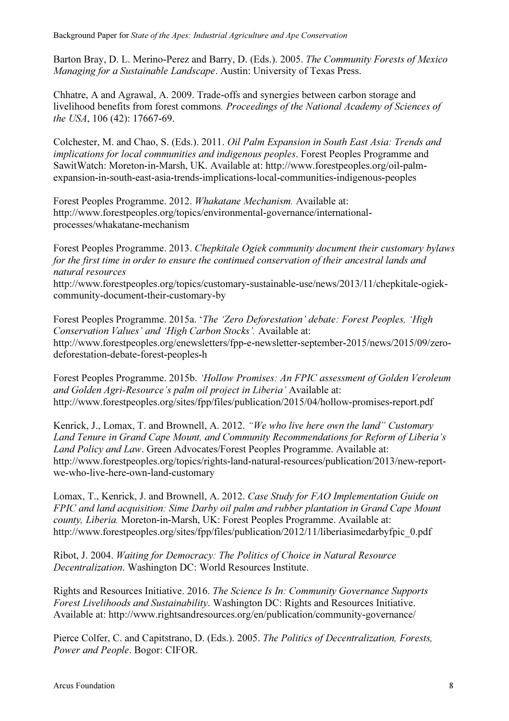Barton Bray, D. L. Merino-Perez and Barry, D. (Eds.). 2005. The Community Forests of Mexico Managing for a Sustainable Landscape. Austin: University of Texas Press.

Chhatre, A and Agrawal, A. 2009. Trade-offs and synergies between carbon storage and livelihood benefits from forest commons. Proceedings of the National Academy of Sciences of the USA, 106 (42): 17667-69.

Colchester, M. and Chao, S. (Eds.). 2011. Oil Palm Expansion in South East Asia: Trends and implications for local communities and indigenous peoples. Forest Peoples Programme and SawitWatch: Moreton-in-Marsh, UK. Available at: http://www.forestpeoples.org/oil-palmexpansion-in-south-east-asia-trends-implications-local-communities-indigenous-peoples

Forest Peoples Programme. 2012. Whakatane Mechanism. Available at: http://www.forestpeoples.org/topics/environmental-governance/internationalprocesses/whakatane-mechanism

Forest Peoples Programme. 2013. Chepkitale Ogiek community document their customary bylaws for the first time in order to ensure the continued conservation of their ancestral lands and natural resources http://www.forestpeoples.org/topics/customary-sustainable-use/news/2013/11/chepkitale-ogiekcommunity-document-their-customary-by

Forest Peoples Programme. 2015a. 'The 'Zero Deforestation' debate: Forest Peoples, 'High Conservation Values' and 'High Carbon Stocks'. Available at: http://www.forestpeoples.org/enewsletters/fpp-e-newsletter-september-2015/news/2015/09/zerodeforestation-debate-forest-peoples-h

Forest Peoples Programme. 2015b. 'Hollow Promises: An FPIC assessment of Golden Veroleum and Golden Agri-Resource's palm oil project in Liberia' Available at: http://www.forestpeoples.org/sites/fpp/files/publication/2015/04/hollow-promises-report.pdf

Kenrick, J., Lomax, T. and Brownell, A. 2012. "We who live here own the land" Customary Land Tenure in Grand Cape Mount, and Community Recommendations for Reform of Liberia's Land Policy and Law. Green Advocates/Forest Peoples Programme. Available at: http://www.forestpeoples.org/topics/rights-land-natural-resources/publication/2013/new-reportwe-who-live-here-own-land-customary

Lomax, T., Kenrick, J. and Brownell, A. 2012. Case Study for FAO Implementation Guide on FPIC and land acquisition: Sime Darby oil palm and rubber plantation in Grand Cape Mount county, Liberia. Moreton-in-Marsh, UK: Forest Peoples Programme. Available at: http://www.forestpeoples.org/sites/fpp/files/publication/2012/11/liberiasimedarbyfpic\_0.pdf

Ribot, J. 2004. Waiting for Democracy: The Politics of Choice in Natural Resource Decentralization. Washington DC: World Resources Institute.

Rights and Resources Initiative. 2016. The Science Is In: Community Governance Supports Forest Livelihoods and Sustainability. Washington DC: Rights and Resources Initiative. Available at: http://www.rightsandresources.org/en/publication/community-governance/

Pierce Colfer, C. and Capitstrano, D. (Eds.). 2005. The Politics of Decentralization, Forests, Power and People. Bogor: CIFOR.